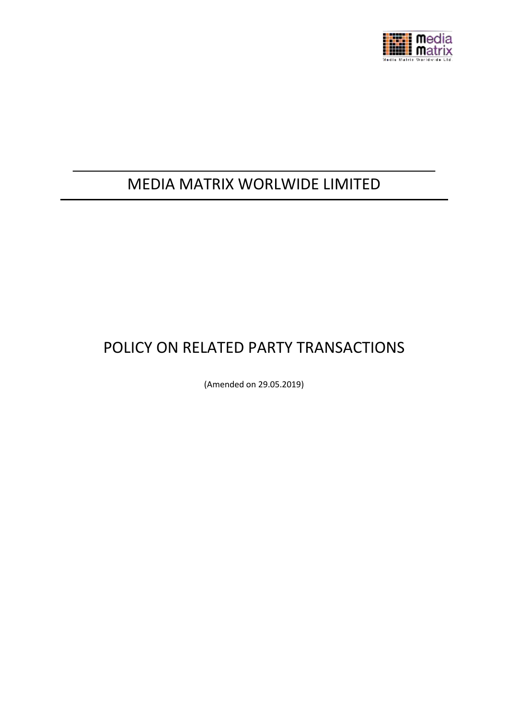

# MEDIA MATRIX WORLWIDE LIMITED

# POLICY ON RELATED PARTY TRANSACTIONS

(Amended on 29.05.2019)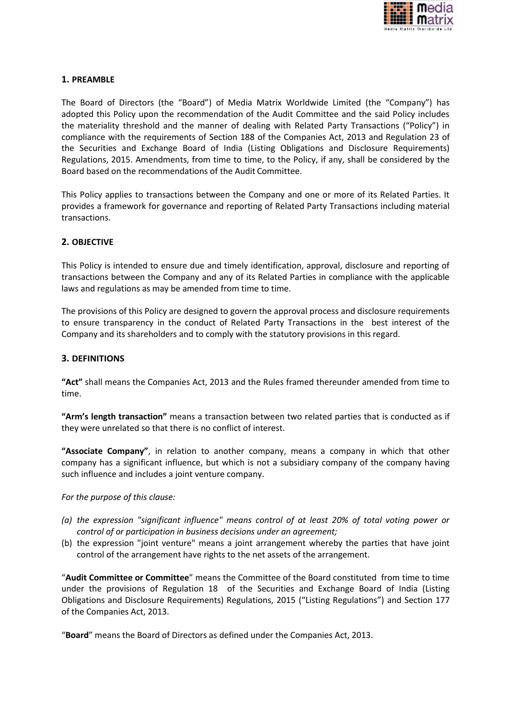

# **1. PREAMBLE**

The Board of Directors (the "Board") of Media Matrix Worldwide Limited (the "Company") has adopted this Policy upon the recommendation of the Audit Committee and the said Policy includes the materiality threshold and the manner of dealing with Related Party Transactions ("Policy") in compliance with the requirements of Section 188 of the Companies Act, 2013 and Regulation 23 of the Securities and Exchange Board of India (Listing Obligations and Disclosure Requirements) Regulations, 2015. Amendments, from time to time, to the Policy, if any, shall be considered by the Board based on the recommendations of the Audit Committee.

This Policy applies to transactions between the Company and one or more of its Related Parties. It provides a framework for governance and reporting of Related Party Transactions including material transactions.

### **2. OBJECTIVE**

This Policy is intended to ensure due and timely identification, approval, disclosure and reporting of transactions between the Company and any of its Related Parties in compliance with the applicable laws and regulations as may be amended from time to time.

The provisions of this Policy are designed to govern the approval process and disclosure requirements to ensure transparency in the conduct of Related Party Transactions in the best interest of the Company and its shareholders and to comply with the statutory provisions in this regard.

### **3. DEFINITIONS**

**"Act"** shall means the Companies Act, 2013 and the Rules framed thereunder amended from time to time.

**"Arm's length transaction"** means a transaction between two related parties that is conducted as if they were unrelated so that there is no conflict of interest.

**"Associate Company"**, in relation to another company, means a company in which that other company has a significant influence, but which is not a subsidiary company of the company having such influence and includes a joint venture company.

#### *For the purpose of this clause:*

- *(a) the expression "significant influence" means control of at least 20% of total voting power or control of or participation in business decisions under an agreement;*
- (b) the expression "joint venture" means a joint arrangement whereby the parties that have joint control of the arrangement have rights to the net assets of the arrangement.

"**Audit Committee or Committee**" means the Committee of the Board constituted from time to time under the provisions of Regulation 18 of the Securities and Exchange Board of India (Listing Obligations and Disclosure Requirements) Regulations, 2015 ("Listing Regulations") and Section 177 of the Companies Act, 2013.

"**Board**" means the Board of Directors as defined under the Companies Act, 2013.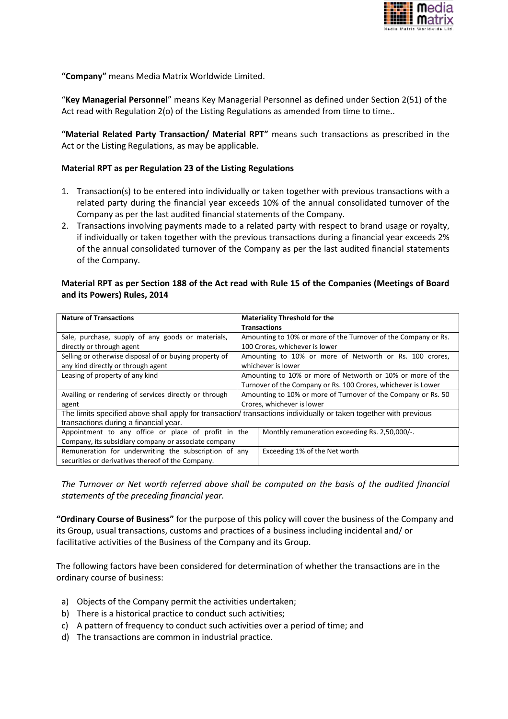

**"Company"** means Media Matrix Worldwide Limited.

"**Key Managerial Personnel**" means Key Managerial Personnel as defined under Section 2(51) of the Act read with Regulation 2(o) of the Listing Regulations as amended from time to time..

**"Material Related Party Transaction/ Material RPT"** means such transactions as prescribed in the Act or the Listing Regulations, as may be applicable.

#### **Material RPT as per Regulation 23 of the Listing Regulations**

- 1. Transaction(s) to be entered into individually or taken together with previous transactions with a related party during the financial year exceeds 10% of the annual consolidated turnover of the Company as per the last audited financial statements of the Company.
- 2. Transactions involving payments made to a related party with respect to brand usage or royalty, if individually or taken together with the previous transactions during a financial year exceeds 2% of the annual consolidated turnover of the Company as per the last audited financial statements of the Company.

### **Material RPT as per Section 188 of the Act read with Rule 15 of the Companies (Meetings of Board and its Powers) Rules, 2014**

| <b>Nature of Transactions</b>                                                                                     | <b>Materiality Threshold for the</b>                           |  |  |  |
|-------------------------------------------------------------------------------------------------------------------|----------------------------------------------------------------|--|--|--|
|                                                                                                                   | <b>Transactions</b>                                            |  |  |  |
| Sale, purchase, supply of any goods or materials,                                                                 | Amounting to 10% or more of the Turnover of the Company or Rs. |  |  |  |
| directly or through agent                                                                                         | 100 Crores, whichever is lower                                 |  |  |  |
| Selling or otherwise disposal of or buying property of                                                            | Amounting to 10% or more of Networth or Rs. 100 crores,        |  |  |  |
| any kind directly or through agent                                                                                | whichever is lower                                             |  |  |  |
| Leasing of property of any kind                                                                                   | Amounting to 10% or more of Networth or 10% or more of the     |  |  |  |
|                                                                                                                   | Turnover of the Company or Rs. 100 Crores, whichever is Lower  |  |  |  |
| Availing or rendering of services directly or through                                                             | Amounting to 10% or more of Turnover of the Company or Rs. 50  |  |  |  |
| agent                                                                                                             | Crores, whichever is lower                                     |  |  |  |
| The limits specified above shall apply for transaction/ transactions individually or taken together with previous |                                                                |  |  |  |
| transactions during a financial year.                                                                             |                                                                |  |  |  |
| Appointment to any office or place of profit in the                                                               | Monthly remuneration exceeding Rs. 2,50,000/-.                 |  |  |  |
| Company, its subsidiary company or associate company                                                              |                                                                |  |  |  |
| Remuneration for underwriting the subscription of any                                                             | Exceeding 1% of the Net worth                                  |  |  |  |
| securities or derivatives thereof of the Company.                                                                 |                                                                |  |  |  |

*The Turnover or Net worth referred above shall be computed on the basis of the audited financial statements of the preceding financial year.*

**"Ordinary Course of Business"** for the purpose of this policy will cover the business of the Company and its Group, usual transactions, customs and practices of a business including incidental and/ or facilitative activities of the Business of the Company and its Group.

The following factors have been considered for determination of whether the transactions are in the ordinary course of business:

- a) Objects of the Company permit the activities undertaken;
- b) There is a historical practice to conduct such activities;
- c) A pattern of frequency to conduct such activities over a period of time; and
- d) The transactions are common in industrial practice.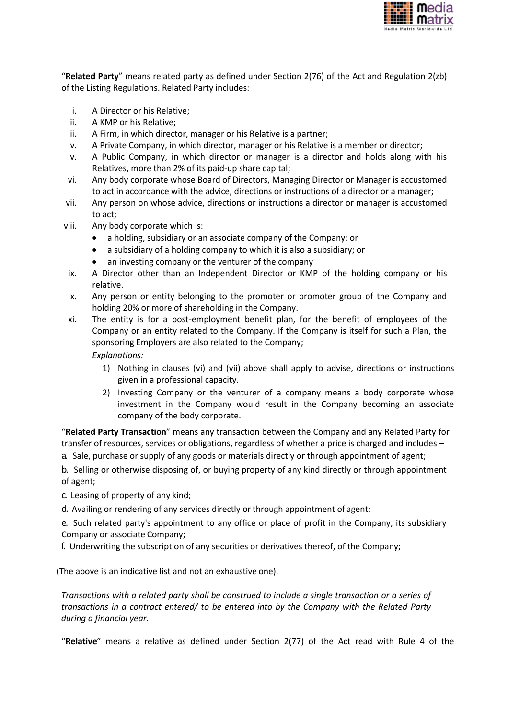

"**Related Party**" means related party as defined under Section 2(76) of the Act and Regulation 2(zb) of the Listing Regulations. Related Party includes:

- i. A Director or his Relative;
- ii. A KMP or his Relative;
- iii. A Firm, in which director, manager or his Relative is a partner;
- iv. A Private Company, in which director, manager or his Relative is a member or director;
- v. A Public Company, in which director or manager is a director and holds along with his Relatives, more than 2% of its paid-up share capital;
- vi. Any body corporate whose Board of Directors, Managing Director or Manager is accustomed to act in accordance with the advice, directions or instructions of a director or a manager;
- vii. Any person on whose advice, directions or instructions a director or manager is accustomed to act;
- viii. Any body corporate which is:
	- a holding, subsidiary or an associate company of the Company; or
	- a subsidiary of a holding company to which it is also a subsidiary; or
	- an investing company or the venturer of the company
	- ix. A Director other than an Independent Director or KMP of the holding company or his relative.
	- x. Any person or entity belonging to the promoter or promoter group of the Company and holding 20% or more of shareholding in the Company.
- xi. The entity is for a post-employment benefit plan, for the benefit of employees of the Company or an entity related to the Company. If the Company is itself for such a Plan, the sponsoring Employers are also related to the Company;

*Explanations:*

- 1) Nothing in clauses (vi) and (vii) above shall apply to advise, directions or instructions given in a professional capacity.
- 2) Investing Company or the venturer of a company means a body corporate whose investment in the Company would result in the Company becoming an associate company of the body corporate.

"**Related Party Transaction**" means any transaction between the Company and any Related Party for transfer of resources, services or obligations, regardless of whether a price is charged and includes –

a. Sale, purchase or supply of any goods or materials directly or through appointment of agent;

b. Selling or otherwise disposing of, or buying property of any kind directly or through appointment of agent;

- c. Leasing of property of any kind;
- d. Availing or rendering of any services directly or through appointment of agent;

e. Such related party's appointment to any office or place of profit in the Company, its subsidiary Company or associate Company;

f. Underwriting the subscription of any securities or derivatives thereof, of the Company;

(The above is an indicative list and not an exhaustive one).

*Transactions with a related party shall be construed to include a single transaction or a series of transactions in a contract entered/ to be entered into by the Company with the Related Party during a financial year.*

"**Relative**" means a relative as defined under Section 2(77) of the Act read with Rule 4 of the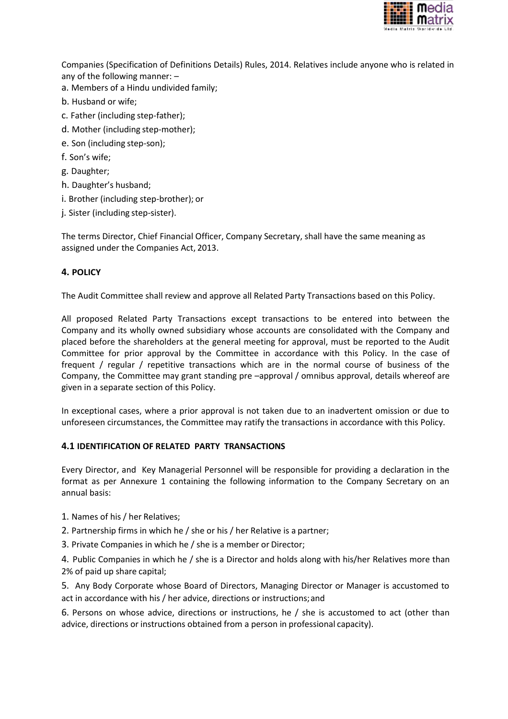

Companies (Specification of Definitions Details) Rules, 2014. Relatives include anyone who is related in any of the following manner: –

- a. Members of a Hindu undivided family;
- b. Husband or wife;
- c. Father (including step-father);
- d. Mother (including step-mother);
- e. Son (including step-son);
- f. Son's wife;
- g. Daughter;
- h. Daughter's husband;
- i. Brother (including step-brother); or
- j. Sister (including step-sister).

The terms Director, Chief Financial Officer, Company Secretary, shall have the same meaning as assigned under the Companies Act, 2013.

# **4. POLICY**

The Audit Committee shall review and approve all Related Party Transactions based on this Policy.

All proposed Related Party Transactions except transactions to be entered into between the Company and its wholly owned subsidiary whose accounts are consolidated with the Company and placed before the shareholders at the general meeting for approval, must be reported to the Audit Committee for prior approval by the Committee in accordance with this Policy. In the case of frequent / regular / repetitive transactions which are in the normal course of business of the Company, the Committee may grant standing pre –approval / omnibus approval, details whereof are given in a separate section of this Policy.

In exceptional cases, where a prior approval is not taken due to an inadvertent omission or due to unforeseen circumstances, the Committee may ratify the transactions in accordance with this Policy.

# **4.1 IDENTIFICATION OF RELATED PARTY TRANSACTIONS**

Every Director, and Key Managerial Personnel will be responsible for providing a declaration in the format as per Annexure 1 containing the following information to the Company Secretary on an annual basis:

- 1. Names of his / her Relatives;
- 2. Partnership firms in which he / she or his / her Relative is a partner;
- 3. Private Companies in which he / she is a member or Director;

4. Public Companies in which he / she is a Director and holds along with his/her Relatives more than 2% of paid up share capital;

5. Any Body Corporate whose Board of Directors, Managing Director or Manager is accustomed to act in accordance with his / her advice, directions or instructions;and

6. Persons on whose advice, directions or instructions, he / she is accustomed to act (other than advice, directions or instructions obtained from a person in professional capacity).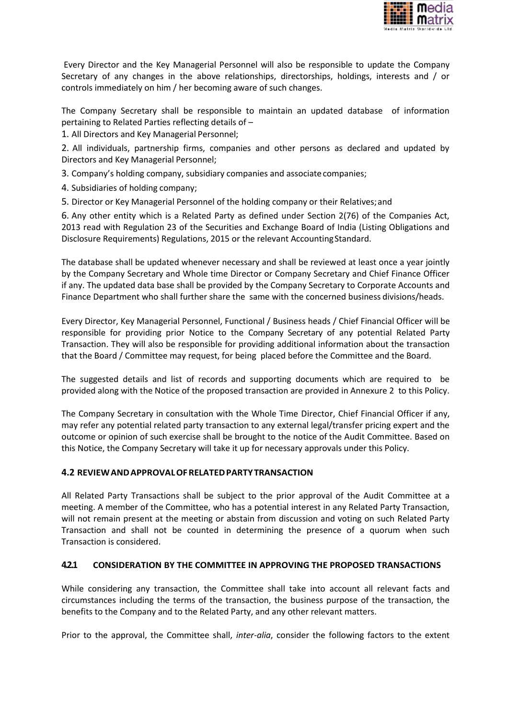

Every Director and the Key Managerial Personnel will also be responsible to update the Company Secretary of any changes in the above relationships, directorships, holdings, interests and / or controls immediately on him / her becoming aware of such changes.

The Company Secretary shall be responsible to maintain an updated database of information pertaining to Related Parties reflecting details of –

1. All Directors and Key Managerial Personnel;

2. All individuals, partnership firms, companies and other persons as declared and updated by Directors and Key Managerial Personnel;

3. Company's holding company, subsidiary companies and associatecompanies;

4. Subsidiaries of holding company;

5. Director or Key Managerial Personnel of the holding company or their Relatives;and

6. Any other entity which is a Related Party as defined under Section 2(76) of the Companies Act, 2013 read with Regulation 23 of the Securities and Exchange Board of India (Listing Obligations and Disclosure Requirements) Regulations, 2015 or the relevant AccountingStandard.

The database shall be updated whenever necessary and shall be reviewed at least once a year jointly by the Company Secretary and Whole time Director or Company Secretary and Chief Finance Officer if any. The updated data base shall be provided by the Company Secretary to Corporate Accounts and Finance Department who shall further share the same with the concerned business divisions/heads.

Every Director, Key Managerial Personnel, Functional / Business heads / Chief Financial Officer will be responsible for providing prior Notice to the Company Secretary of any potential Related Party Transaction. They will also be responsible for providing additional information about the transaction that the Board / Committee may request, for being placed before the Committee and the Board.

The suggested details and list of records and supporting documents which are required to be provided along with the Notice of the proposed transaction are provided in Annexure 2 to this Policy.

The Company Secretary in consultation with the Whole Time Director, Chief Financial Officer if any, may refer any potential related party transaction to any external legal/transfer pricing expert and the outcome or opinion of such exercise shall be brought to the notice of the Audit Committee. Based on this Notice, the Company Secretary will take it up for necessary approvals under this Policy.

#### **4.2 REVIEWANDAPPROVALOFRELATEDPARTYTRANSACTION**

All Related Party Transactions shall be subject to the prior approval of the Audit Committee at a meeting. A member of the Committee, who has a potential interest in any Related Party Transaction, will not remain present at the meeting or abstain from discussion and voting on such Related Party Transaction and shall not be counted in determining the presence of a quorum when such Transaction is considered.

#### **4.2.1 CONSIDERATION BY THE COMMITTEE IN APPROVING THE PROPOSED TRANSACTIONS**

While considering any transaction, the Committee shall take into account all relevant facts and circumstances including the terms of the transaction, the business purpose of the transaction, the benefits to the Company and to the Related Party, and any other relevant matters.

Prior to the approval, the Committee shall, *inter-alia*, consider the following factors to the extent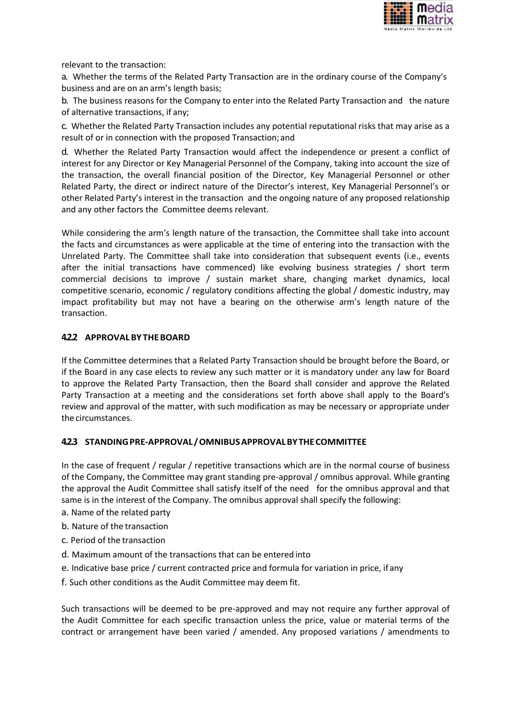

relevant to the transaction:

a. Whether the terms of the Related Party Transaction are in the ordinary course of the Company's business and are on an arm's length basis;

b. The business reasons for the Company to enter into the Related Party Transaction and the nature of alternative transactions, if any;

c. Whether the Related Party Transaction includes any potential reputational risks that may arise as a result of or in connection with the proposed Transaction; and

d. Whether the Related Party Transaction would affect the independence or present a conflict of interest for any Director or Key Managerial Personnel of the Company, taking into account the size of the transaction, the overall financial position of the Director, Key Managerial Personnel or other Related Party, the direct or indirect nature of the Director's interest, Key Managerial Personnel's or other Related Party's interest in the transaction and the ongoing nature of any proposed relationship and any other factors the Committee deems relevant.

While considering the arm's length nature of the transaction, the Committee shall take into account the facts and circumstances as were applicable at the time of entering into the transaction with the Unrelated Party. The Committee shall take into consideration that subsequent events (i.e., events after the initial transactions have commenced) like evolving business strategies / short term commercial decisions to improve / sustain market share, changing market dynamics, local competitive scenario, economic / regulatory conditions affecting the global / domestic industry, may impact profitability but may not have a bearing on the otherwise arm's length nature of the transaction.

# **4.2.2 APPROVAL BYTHEBOARD**

If the Committee determines that a Related Party Transaction should be brought before the Board, or if the Board in any case elects to review any such matter or it is mandatory under any law for Board to approve the Related Party Transaction, then the Board shall consider and approve the Related Party Transaction at a meeting and the considerations set forth above shall apply to the Board's review and approval of the matter, with such modification as may be necessary or appropriate under the circumstances.

# **4.2.3 STANDINGPRE-APPROVAL/OMNIBUSAPPROVALBYTHECOMMITTEE**

In the case of frequent / regular / repetitive transactions which are in the normal course of business of the Company, the Committee may grant standing pre-approval / omnibus approval. While granting the approval the Audit Committee shall satisfy itself of the need for the omnibus approval and that same is in the interest of the Company. The omnibus approval shall specify the following:

- a. Name of the related party
- b. Nature of the transaction
- c. Period of the transaction
- d. Maximum amount of the transactions that can be entered into
- e. Indicative base price / current contracted price and formula for variation in price, if any
- f. Such other conditions as the Audit Committee may deem fit.

Such transactions will be deemed to be pre-approved and may not require any further approval of the Audit Committee for each specific transaction unless the price, value or material terms of the contract or arrangement have been varied / amended. Any proposed variations / amendments to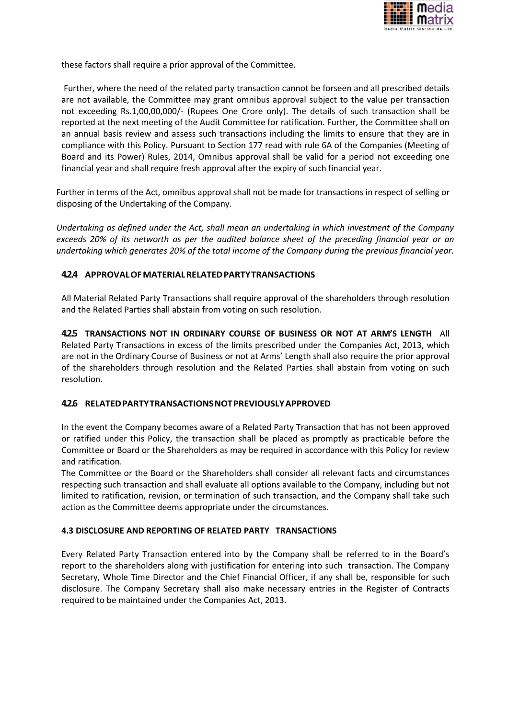

these factors shall require a prior approval of the Committee.

Further, where the need of the related party transaction cannot be forseen and all prescribed details are not available, the Committee may grant omnibus approval subject to the value per transaction not exceeding Rs.1,00,00,000/- (Rupees One Crore only). The details of such transaction shall be reported at the next meeting of the Audit Committee for ratification. Further, the Committee shall on an annual basis review and assess such transactions including the limits to ensure that they are in compliance with this Policy. Pursuant to Section 177 read with rule 6A of the Companies (Meeting of Board and its Power) Rules, 2014, Omnibus approval shall be valid for a period not exceeding one financial year and shall require fresh approval after the expiry of such financial year.

Further in terms of the Act, omnibus approval shall not be made for transactions in respect of selling or disposing of the Undertaking of the Company.

*Undertaking as defined under the Act, shall mean an undertaking in which investment of the Company exceeds 20% of its networth as per the audited balance sheet of the preceding financial year or an undertaking which generates 20% of the total income of the Company during the previous financial year.*

# **4.2.4 APPROVALOFMATERIALRELATEDPARTYTRANSACTIONS**

All Material Related Party Transactions shall require approval of the shareholders through resolution and the Related Parties shall abstain from voting on such resolution.

**4.2.5 TRANSACTIONS NOT IN ORDINARY COURSE OF BUSINESS OR NOT AT ARM'S LENGTH** All Related Party Transactions in excess of the limits prescribed under the Companies Act, 2013, which are not in the Ordinary Course of Business or not at Arms' Length shall also require the prior approval of the shareholders through resolution and the Related Parties shall abstain from voting on such resolution.

# **4.2.6 RELATEDPARTYTRANSACTIONSNOTPREVIOUSLYAPPROVED**

In the event the Company becomes aware of a Related Party Transaction that has not been approved or ratified under this Policy, the transaction shall be placed as promptly as practicable before the Committee or Board or the Shareholders as may be required in accordance with this Policy for review and ratification.

The Committee or the Board or the Shareholders shall consider all relevant facts and circumstances respecting such transaction and shall evaluate all options available to the Company, including but not limited to ratification, revision, or termination of such transaction, and the Company shall take such action as the Committee deems appropriate under the circumstances.

#### **4.3 DISCLOSURE AND REPORTING OF RELATED PARTY TRANSACTIONS**

Every Related Party Transaction entered into by the Company shall be referred to in the Board's report to the shareholders along with justification for entering into such transaction. The Company Secretary, Whole Time Director and the Chief Financial Officer, if any shall be, responsible for such disclosure. The Company Secretary shall also make necessary entries in the Register of Contracts required to be maintained under the Companies Act, 2013.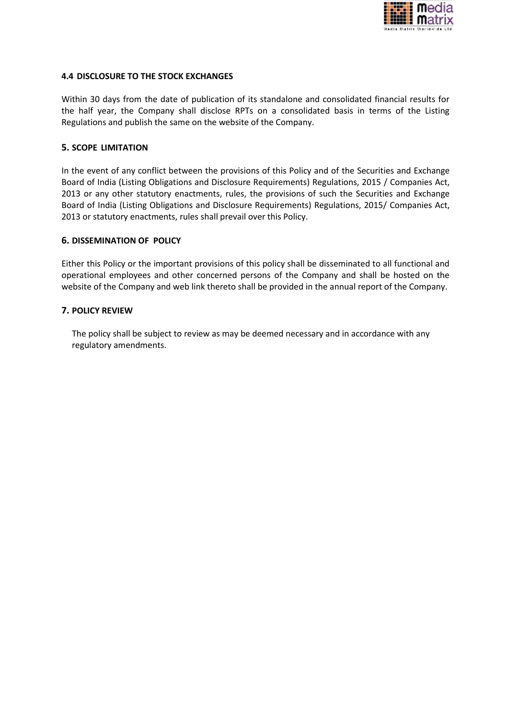

### **4.4 DISCLOSURE TO THE STOCK EXCHANGES**

Within 30 days from the date of publication of its standalone and consolidated financial results for the half year, the Company shall disclose RPTs on a consolidated basis in terms of the Listing Regulations and publish the same on the website of the Company.

### **5. SCOPE LIMITATION**

In the event of any conflict between the provisions of this Policy and of the Securities and Exchange Board of India (Listing Obligations and Disclosure Requirements) Regulations, 2015 / Companies Act, 2013 or any other statutory enactments, rules, the provisions of such the Securities and Exchange Board of India (Listing Obligations and Disclosure Requirements) Regulations, 2015/ Companies Act, 2013 or statutory enactments, rules shall prevail over this Policy.

### **6. DISSEMINATION OF POLICY**

Either this Policy or the important provisions of this policy shall be disseminated to all functional and operational employees and other concerned persons of the Company and shall be hosted on the website of the Company and web link thereto shall be provided in the annual report of the Company.

#### **7. POLICY REVIEW**

The policy shall be subject to review as may be deemed necessary and in accordance with any regulatory amendments.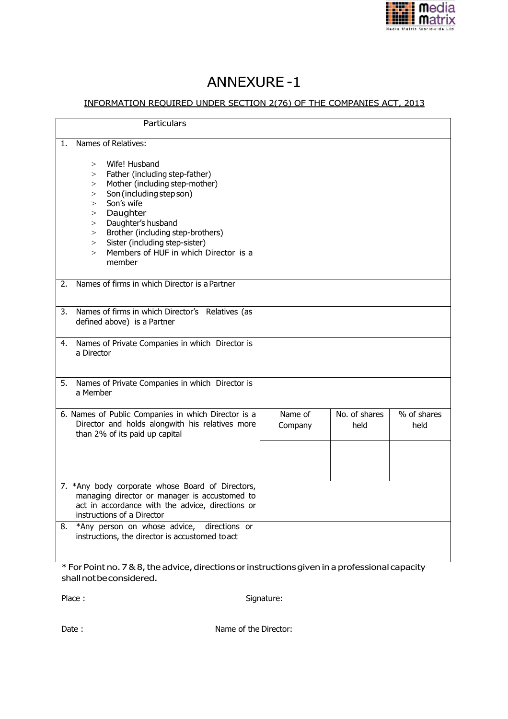

# ANNEXURE -1

# INFORMATION REQUIRED UNDER SECTION 2(76) OF THE COMPANIES ACT, 2013

| Particulars                                                                                                                                                                                                                                                                                                                                  |                    |                       |                     |
|----------------------------------------------------------------------------------------------------------------------------------------------------------------------------------------------------------------------------------------------------------------------------------------------------------------------------------------------|--------------------|-----------------------|---------------------|
| Names of Relatives:<br>1.<br>Wife! Husband<br>$\geq$<br>Father (including step-father)<br>><br>Mother (including step-mother)<br>><br>Son (including step son)<br>$\geq$<br>Son's wife<br>$\geq$<br>Daughter<br>$\geq$<br>Daughter's husband<br>$\geq$<br>Brother (including step-brothers)<br>><br>Sister (including step-sister)<br>$\geq$ |                    |                       |                     |
| Members of HUF in which Director is a<br>$\geq$<br>member                                                                                                                                                                                                                                                                                    |                    |                       |                     |
| Names of firms in which Director is a Partner<br>2.                                                                                                                                                                                                                                                                                          |                    |                       |                     |
| Names of firms in which Director's Relatives (as<br>3.<br>defined above) is a Partner                                                                                                                                                                                                                                                        |                    |                       |                     |
| Names of Private Companies in which Director is<br>4.<br>a Director                                                                                                                                                                                                                                                                          |                    |                       |                     |
| Names of Private Companies in which Director is<br>5.<br>a Member                                                                                                                                                                                                                                                                            |                    |                       |                     |
| 6. Names of Public Companies in which Director is a<br>Director and holds alongwith his relatives more<br>than 2% of its paid up capital                                                                                                                                                                                                     | Name of<br>Company | No. of shares<br>held | % of shares<br>held |
|                                                                                                                                                                                                                                                                                                                                              |                    |                       |                     |
| 7. *Any body corporate whose Board of Directors,<br>managing director or manager is accustomed to<br>act in accordance with the advice, directions or<br>instructions of a Director                                                                                                                                                          |                    |                       |                     |
| *Any person on whose advice,<br>directions or<br>8.<br>instructions, the director is accustomed to act                                                                                                                                                                                                                                       |                    |                       |                     |

\* For Point no. 7 & 8, the advice, directions or instructions given in a professional capacity shallnotbeconsidered.

Place : Signature:

Date : Name of the Director: